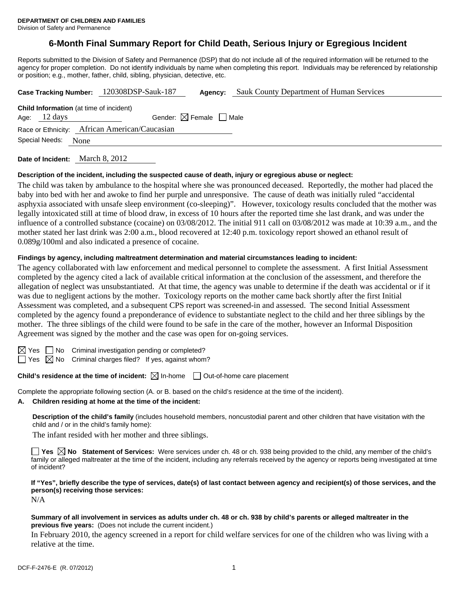# **6-Month Final Summary Report for Child Death, Serious Injury or Egregious Incident**

Reports submitted to the Division of Safety and Permanence (DSP) that do not include all of the required information will be returned to the agency for proper completion. Do not identify individuals by name when completing this report. Individuals may be referenced by relationship or position; e.g., mother, father, child, sibling, physician, detective, etc.

|                                                                                                                    | Case Tracking Number: 120308DSP-Sauk-187 | Agency: | <b>Sauk County Department of Human Services</b> |  |  |  |  |
|--------------------------------------------------------------------------------------------------------------------|------------------------------------------|---------|-------------------------------------------------|--|--|--|--|
| <b>Child Information</b> (at time of incident)<br>Gender: $\boxtimes$ Female $\Box$ Male<br>Age: $12 \text{ days}$ |                                          |         |                                                 |  |  |  |  |
| Race or Ethnicity: African American/Caucasian                                                                      |                                          |         |                                                 |  |  |  |  |
| Special Needs: None                                                                                                |                                          |         |                                                 |  |  |  |  |
|                                                                                                                    |                                          |         |                                                 |  |  |  |  |

**Date of Incident:** March 8, 2012

#### **Description of the incident, including the suspected cause of death, injury or egregious abuse or neglect:**

The child was taken by ambulance to the hospital where she was pronounced deceased. Reportedly, the mother had placed the baby into bed with her and awoke to find her purple and unresponsive. The cause of death was initially ruled "accidental asphyxia associated with unsafe sleep environment (co-sleeping)". However, toxicology results concluded that the mother was legally intoxicated still at time of blood draw, in excess of 10 hours after the reported time she last drank, and was under the influence of a controlled substance (cocaine) on 03/08/2012. The initial 911 call on 03/08/2012 was made at 10:39 a.m., and the mother stated her last drink was 2:00 a.m., blood recovered at 12:40 p.m. toxicology report showed an ethanol result of 0.089g/100ml and also indicated a presence of cocaine.

# **Findings by agency, including maltreatment determination and material circumstances leading to incident:**

The agency collaborated with law enforcement and medical personnel to complete the assessment. A first Initial Assessment completed by the agency cited a lack of available critical information at the conclusion of the assessment, and therefore the allegation of neglect was unsubstantiated. At that time, the agency was unable to determine if the death was accidental or if it was due to negligent actions by the mother. Toxicology reports on the mother came back shortly after the first Initial Assessment was completed, and a subsequent CPS report was screened-in and assessed. The second Initial Assessment completed by the agency found a preponderance of evidence to substantiate neglect to the child and her three siblings by the mother. The three siblings of the child were found to be safe in the care of the mother, however an Informal Disposition Agreement was signed by the mother and the case was open for on-going services.

| ш |  |
|---|--|

No Criminal investigation pending or completed?

 $\Box$  Yes  $\boxtimes$  No Criminal charges filed? If yes, against whom?

**Child's residence at the time of incident:** ⊠ In-home □ Out-of-home care placement

Complete the appropriate following section (A. or B. based on the child's residence at the time of the incident).

#### **A. Children residing at home at the time of the incident:**

**Description of the child's family** (includes household members, noncustodial parent and other children that have visitation with the child and / or in the child's family home):

The infant resided with her mother and three siblings.

**Yes No Statement of Services:** Were services under ch. 48 or ch. 938 being provided to the child, any member of the child's family or alleged maltreater at the time of the incident, including any referrals received by the agency or reports being investigated at time of incident?

**If "Yes", briefly describe the type of services, date(s) of last contact between agency and recipient(s) of those services, and the person(s) receiving those services:** 

N/A

#### **Summary of all involvement in services as adults under ch. 48 or ch. 938 by child's parents or alleged maltreater in the previous five years:** (Does not include the current incident.)

In February 2010, the agency screened in a report for child welfare services for one of the children who was living with a relative at the time.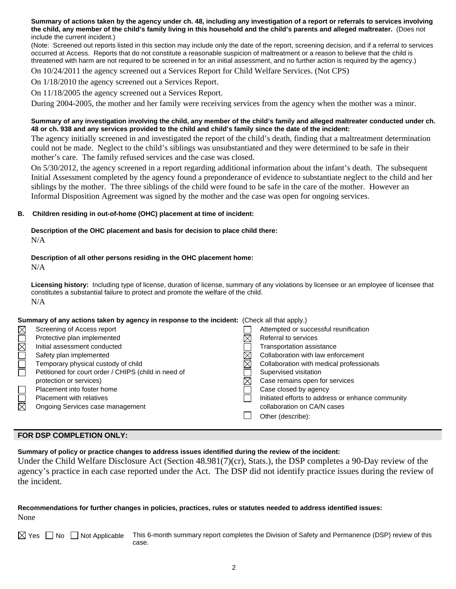**Summary of actions taken by the agency under ch. 48, including any investigation of a report or referrals to services involving the child, any member of the child's family living in this household and the child's parents and alleged maltreater.** (Does not include the current incident.)

(Note: Screened out reports listed in this section may include only the date of the report, screening decision, and if a referral to services occurred at Access. Reports that do not constitute a reasonable suspicion of maltreatment or a reason to believe that the child is threatened with harm are not required to be screened in for an initial assessment, and no further action is required by the agency.)

On 10/24/2011 the agency screened out a Services Report for Child Welfare Services. (Not CPS)

On 1/18/2010 the agency screened out a Services Report.

On 11/18/2005 the agency screened out a Services Report.

During 2004-2005, the mother and her family were receiving services from the agency when the mother was a minor.

#### **Summary of any investigation involving the child, any member of the child's family and alleged maltreater conducted under ch. 48 or ch. 938 and any services provided to the child and child's family since the date of the incident:**

The agency initially screened in and investigated the report of the child's death, finding that a maltreatment determination could not be made. Neglect to the child's siblings was unsubstantiated and they were determined to be safe in their mother's care. The family refused services and the case was closed.

On 5/30/2012, the agency screened in a report regarding additional information about the infant's death. The subsequent Initial Assessment completed by the agency found a preponderance of evidence to substantiate neglect to the child and her siblings by the mother. The three siblings of the child were found to be safe in the care of the mother. However an Informal Disposition Agreement was signed by the mother and the case was open for ongoing services.

#### **B. Children residing in out-of-home (OHC) placement at time of incident:**

# **Description of the OHC placement and basis for decision to place child there:**

N/A

# **Description of all other persons residing in the OHC placement home:**

N/A

**Licensing history:** Including type of license, duration of license, summary of any violations by licensee or an employee of licensee that constitutes a substantial failure to protect and promote the welfare of the child. N/A

#### **Summary of any actions taken by agency in response to the incident:** (Check all that apply.)

| $\boxtimes$         | Screening of Access report                           | Attempted or successful reunification             |
|---------------------|------------------------------------------------------|---------------------------------------------------|
|                     | Protective plan implemented                          | Referral to services                              |
| $\boxtimes \square$ | Initial assessment conducted                         | <b>Transportation assistance</b>                  |
|                     | Safety plan implemented                              | Collaboration with law enforcement                |
|                     | Temporary physical custody of child                  | Collaboration with medical professionals          |
|                     | Petitioned for court order / CHIPS (child in need of | Supervised visitation                             |
|                     | protection or services)                              | Case remains open for services                    |
|                     | Placement into foster home                           | Case closed by agency                             |
|                     | <b>Placement with relatives</b>                      | Initiated efforts to address or enhance community |
| $\boxtimes$         | Ongoing Services case management                     | collaboration on CA/N cases                       |
|                     |                                                      | Other (describe):                                 |
|                     |                                                      |                                                   |

# **FOR DSP COMPLETION ONLY:**

**Summary of policy or practice changes to address issues identified during the review of the incident:** 

Under the Child Welfare Disclosure Act (Section 48.981(7)(cr), Stats.), the DSP completes a 90-Day review of the agency's practice in each case reported under the Act. The DSP did not identify practice issues during the review of the incident.

# **Recommendations for further changes in policies, practices, rules or statutes needed to address identified issues:** None

 $\boxtimes$  Yes  $\Box$  No  $\Box$  Not Applicable This 6-month summary report completes the Division of Safety and Permanence (DSP) review of this case.